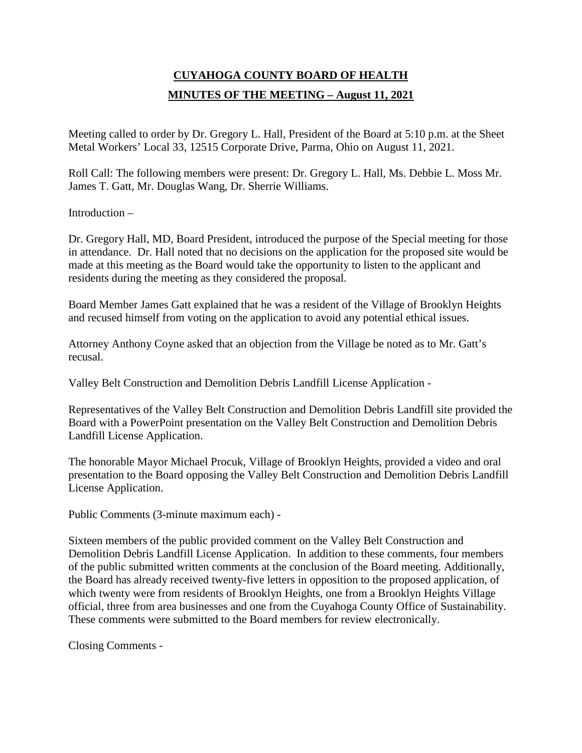## **CUYAHOGA COUNTY BOARD OF HEALTH MINUTES OF THE MEETING – August 11, 2021**

Meeting called to order by Dr. Gregory L. Hall, President of the Board at 5:10 p.m. at the Sheet Metal Workers' Local 33, 12515 Corporate Drive, Parma, Ohio on August 11, 2021.

Roll Call: The following members were present: Dr. Gregory L. Hall, Ms. Debbie L. Moss Mr. James T. Gatt, Mr. Douglas Wang, Dr. Sherrie Williams.

Introduction –

Dr. Gregory Hall, MD, Board President, introduced the purpose of the Special meeting for those in attendance. Dr. Hall noted that no decisions on the application for the proposed site would be made at this meeting as the Board would take the opportunity to listen to the applicant and residents during the meeting as they considered the proposal.

Board Member James Gatt explained that he was a resident of the Village of Brooklyn Heights and recused himself from voting on the application to avoid any potential ethical issues.

Attorney Anthony Coyne asked that an objection from the Village be noted as to Mr. Gatt's recusal.

Valley Belt Construction and Demolition Debris Landfill License Application -

Representatives of the Valley Belt Construction and Demolition Debris Landfill site provided the Board with a PowerPoint presentation on the Valley Belt Construction and Demolition Debris Landfill License Application.

The honorable Mayor Michael Procuk, Village of Brooklyn Heights, provided a video and oral presentation to the Board opposing the Valley Belt Construction and Demolition Debris Landfill License Application.

Public Comments (3-minute maximum each) -

Sixteen members of the public provided comment on the Valley Belt Construction and Demolition Debris Landfill License Application. In addition to these comments, four members of the public submitted written comments at the conclusion of the Board meeting. Additionally, the Board has already received twenty-five letters in opposition to the proposed application, of which twenty were from residents of Brooklyn Heights, one from a Brooklyn Heights Village official, three from area businesses and one from the Cuyahoga County Office of Sustainability. These comments were submitted to the Board members for review electronically.

Closing Comments -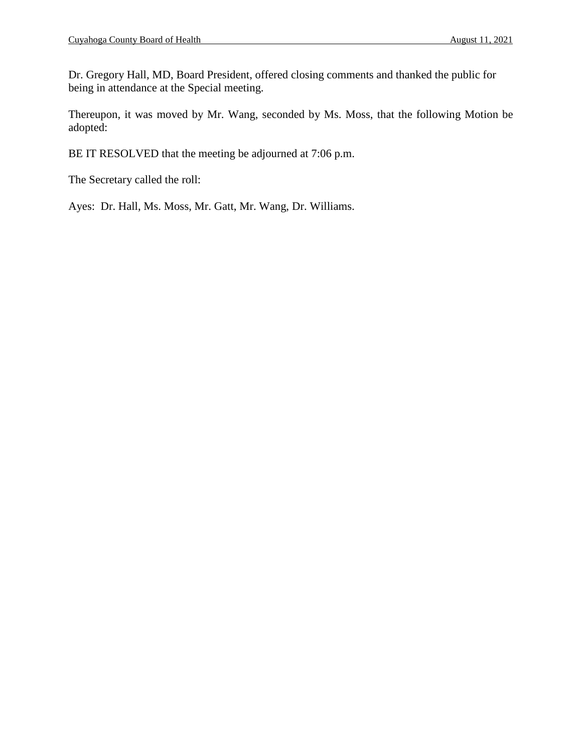Dr. Gregory Hall, MD, Board President, offered closing comments and thanked the public for being in attendance at the Special meeting.

Thereupon, it was moved by Mr. Wang, seconded by Ms. Moss, that the following Motion be adopted:

BE IT RESOLVED that the meeting be adjourned at 7:06 p.m.

The Secretary called the roll:

Ayes: Dr. Hall, Ms. Moss, Mr. Gatt, Mr. Wang, Dr. Williams.